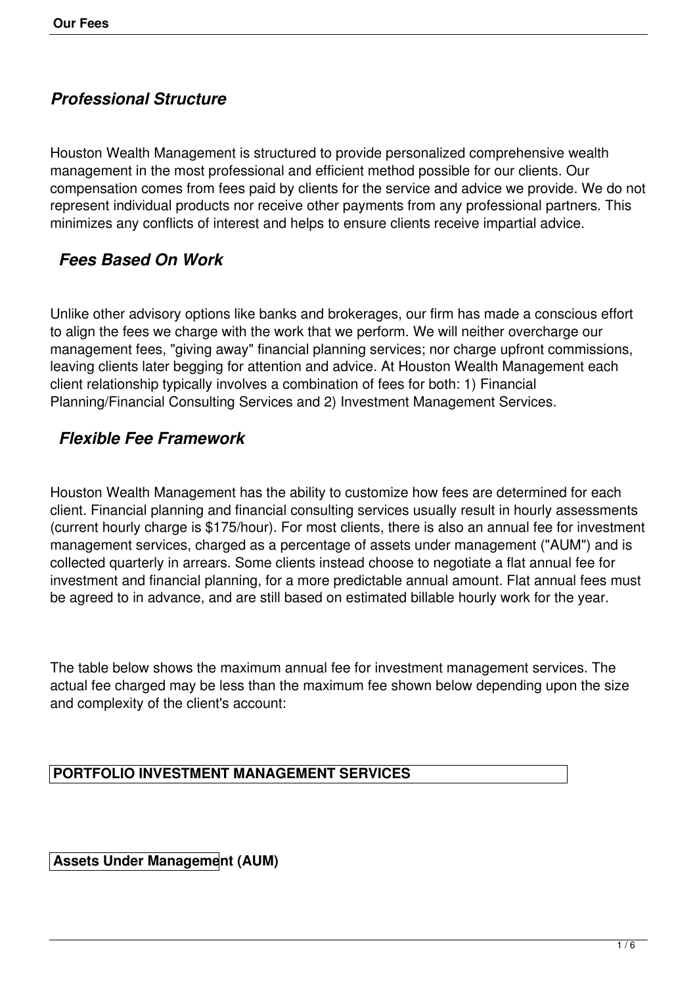# *Professional Structure*

Houston Wealth Management is structured to provide personalized comprehensive wealth management in the most professional and efficient method possible for our clients. Our compensation comes from fees paid by clients for the service and advice we provide. We do not represent individual products nor receive other payments from any professional partners. This minimizes any conflicts of interest and helps to ensure clients receive impartial advice.

## *Fees Based On Work*

Unlike other advisory options like banks and brokerages, our firm has made a conscious effort to align the fees we charge with the work that we perform. We will neither overcharge our management fees, "giving away" financial planning services; nor charge upfront commissions, leaving clients later begging for attention and advice. At Houston Wealth Management each client relationship typically involves a combination of fees for both: 1) Financial Planning/Financial Consulting Services and 2) Investment Management Services.

## *Flexible Fee Framework*

Houston Wealth Management has the ability to customize how fees are determined for each client. Financial planning and financial consulting services usually result in hourly assessments (current hourly charge is \$175/hour). For most clients, there is also an annual fee for investment management services, charged as a percentage of assets under management ("AUM") and is collected quarterly in arrears. Some clients instead choose to negotiate a flat annual fee for investment and financial planning, for a more predictable annual amount. Flat annual fees must be agreed to in advance, and are still based on estimated billable hourly work for the year.

The table below shows the maximum annual fee for investment management services. The actual fee charged may be less than the maximum fee shown below depending upon the size and complexity of the client's account:

#### **PORTFOLIO INVESTMENT MANAGEMENT SERVICES**

**Assets Under Management (AUM)**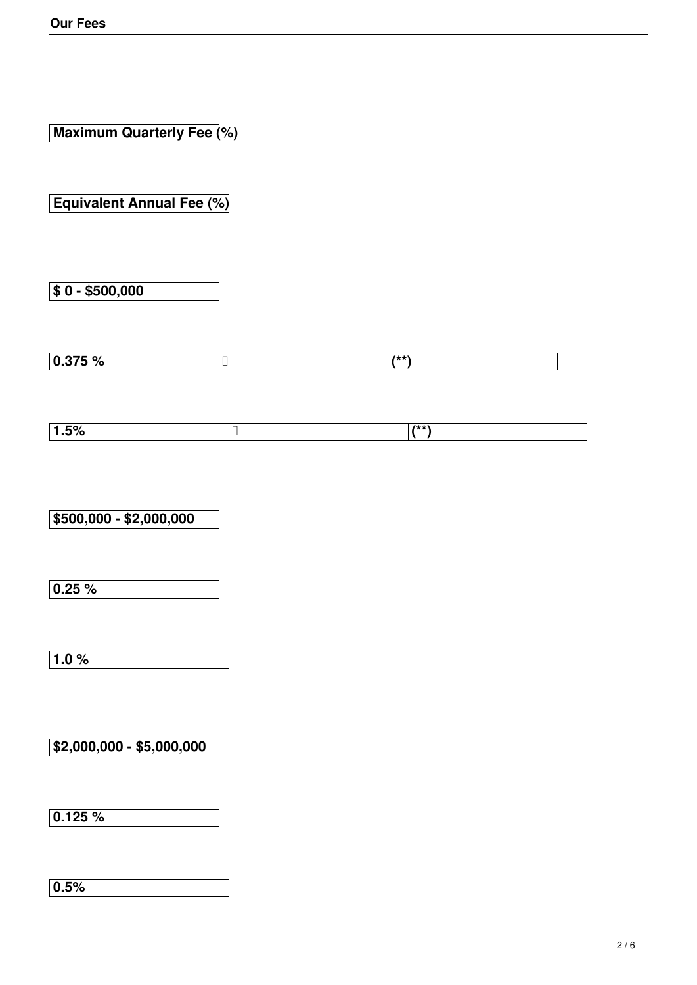**Maximum Quarterly Fee (%)**

**Equivalent Annual Fee (%)**

**\$ 0 - \$500,000**

| $\overline{0}$ $\overline{2}$ $\overline{5}$ $\overline{0}$ $\overline{0}$<br>U.J / J<br>70 | 2.1.1.1<br>$\boldsymbol{\pi}$ |
|---------------------------------------------------------------------------------------------|-------------------------------|

|    | -- - - |
|----|--------|
| 7٥ |        |
|    |        |

**\$500,000 - \$2,000,000**

**0.25 %**

**1.0 %**

**\$2,000,000 - \$5,000,000**

**0.125 %**

**0.5%**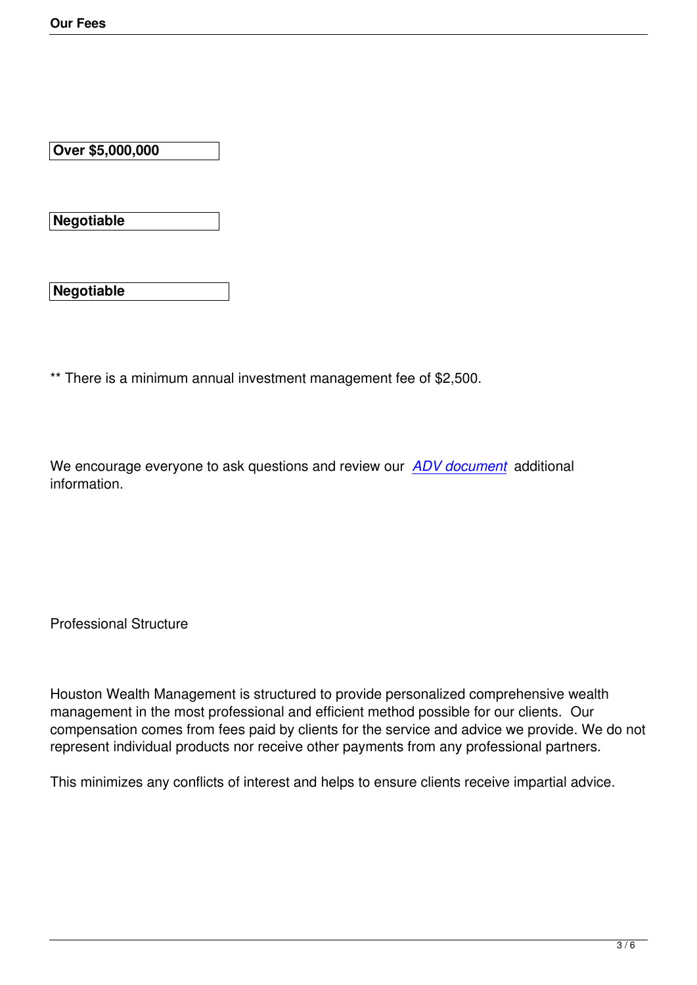**Over \$5,000,000**

**Negotiable**

**Negotiable**

\*\* There is a minimum annual investment management fee of \$2,500.

We encourage everyone to ask questions and review our *ADV document* additional information.

Professional Structure

Houston Wealth Management is structured to provide personalized comprehensive wealth management in the most professional and efficient method possible for our clients. Our compensation comes from fees paid by clients for the service and advice we provide. We do not represent individual products nor receive other payments from any professional partners.

This minimizes any conflicts of interest and helps to ensure clients receive impartial advice.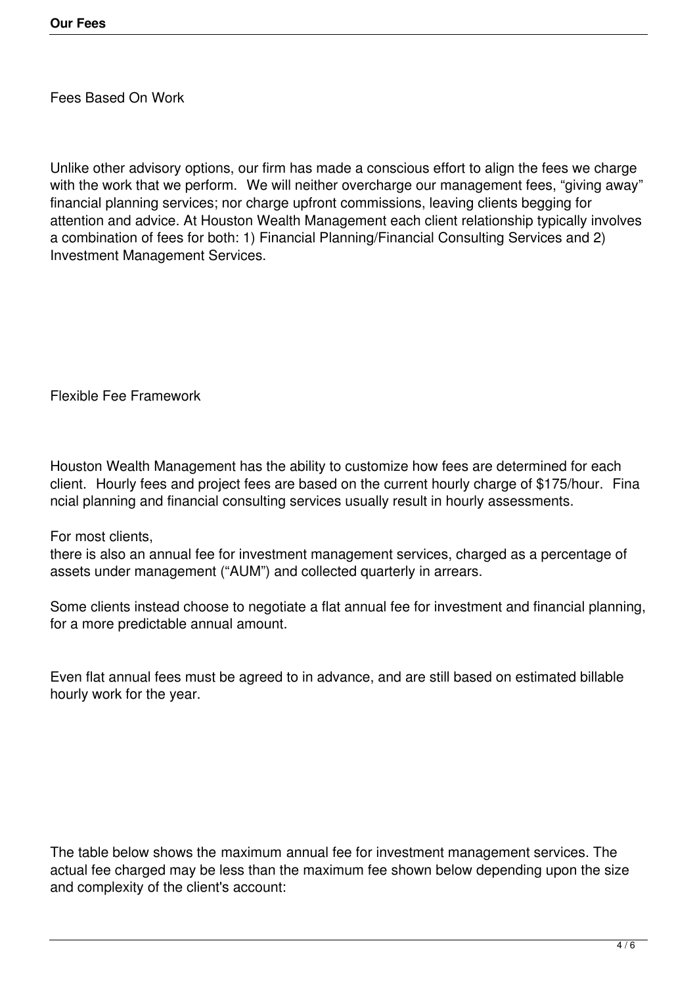Fees Based On Work

Unlike other advisory options, our firm has made a conscious effort to align the fees we charge with the work that we perform. We will neither overcharge our management fees, "giving away" financial planning services; nor charge upfront commissions, leaving clients begging for attention and advice. At Houston Wealth Management each client relationship typically involves a combination of fees for both: 1) Financial Planning/Financial Consulting Services and 2) Investment Management Services.

Flexible Fee Framework

Houston Wealth Management has the ability to customize how fees are determined for each client. Hourly fees and project fees are based on the current hourly charge of \$175/hour. Fina ncial planning and financial consulting services usually result in hourly assessments.

For most clients,

there is also an annual fee for investment management services, charged as a percentage of assets under management ("AUM") and collected quarterly in arrears.

Some clients instead choose to negotiate a flat annual fee for investment and financial planning, for a more predictable annual amount.

Even flat annual fees must be agreed to in advance, and are still based on estimated billable hourly work for the year.

The table below shows the maximum annual fee for investment management services. The actual fee charged may be less than the maximum fee shown below depending upon the size and complexity of the client's account: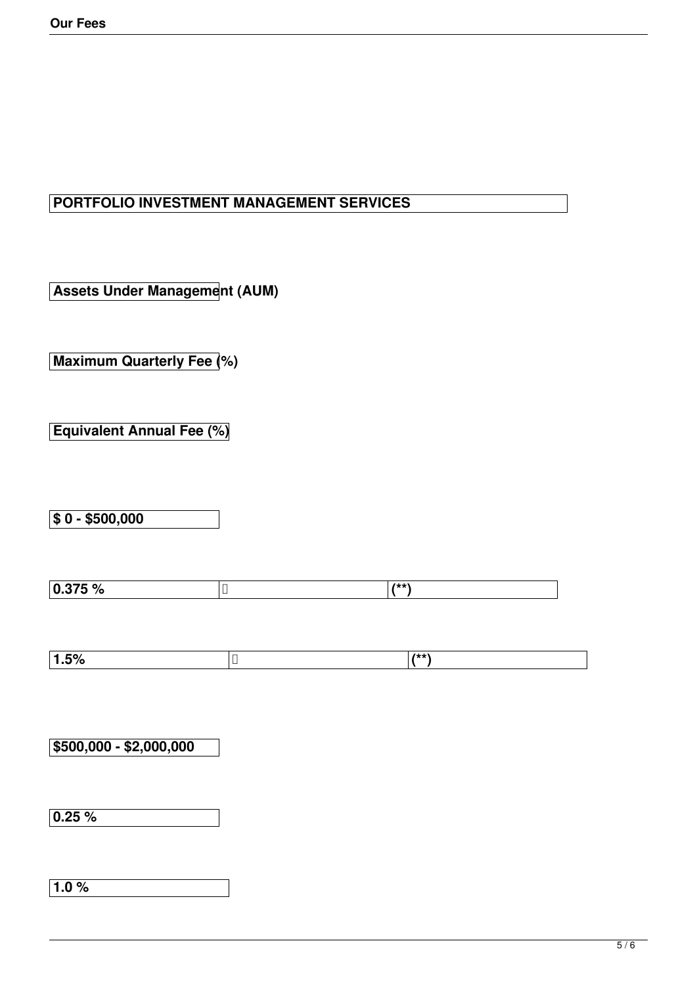#### **PORTFOLIO INVESTMENT MANAGEMENT SERVICES**

**Assets Under Management (AUM)**

**Maximum Quarterly Fee (%)**

**Equivalent Annual Fee (%)**

**\$ 0 - \$500,000**

| $\sim$ $\sim$ $\sim$<br>υ.,<br>ס⁄ טוט.י | 2.1.1.1 |
|-----------------------------------------|---------|

| -<br>7٥ | - | $1 + 1 + 1$ |
|---------|---|-------------|
|         |   |             |

**\$500,000 - \$2,000,000**

**0.25 %**

**1.0 %**